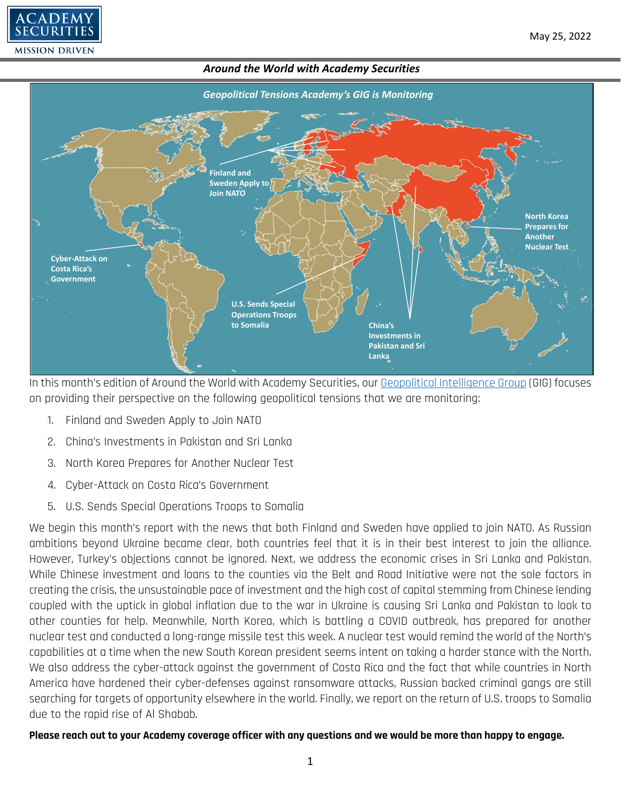



In this month's edition of Around the World with Academy Securities, our [Geopolitical Intelligence Group](https://www.academysecurities.com/geopolitical/geopolitical-intelligence-group/) (GIG) focuses on providing their perspective on the following geopolitical tensions that we are monitoring:

- 1. Finland and Sweden Apply to Join NATO
- 2. China's Investments in Pakistan and Sri Lanka
- 3. North Korea Prepares for Another Nuclear Test
- 4. Cyber-Attack on Costa Rica's Government
- 5. U.S. Sends Special Operations Troops to Somalia

We begin this month's report with the news that both Finland and Sweden have applied to join NATO. As Russian ambitions beyond Ukraine became clear, both countries feel that it is in their best interest to join the alliance. However, Turkey's objections cannot be ignored. Next, we address the economic crises in Sri Lanka and Pakistan. While Chinese investment and loans to the counties via the Belt and Road Initiative were not the sole factors in creating the crisis, the unsustainable pace of investment and the high cost of capital stemming from Chinese lending coupled with the uptick in global inflation due to the war in Ukraine is causing Sri Lanka and Pakistan to look to other counties for help. Meanwhile, North Korea, which is battling a COVID outbreak, has prepared for another nuclear test and conducted a long-range missile test this week. A nuclear test would remind the world of the North's capabilities at a time when the new South Korean president seems intent on taking a harder stance with the North. We also address the cyber-attack against the government of Costa Rica and the fact that while countries in North America have hardened their cyber-defenses against ransomware attacks, Russian backed criminal gangs are still searching for targets of opportunity elsewhere in the world. Finally, we report on the return of U.S. troops to Somalia due to the rapid rise of Al Shabab.

### **Please reach out to your Academy coverage officer with any questions and we would be more than happy to engage.**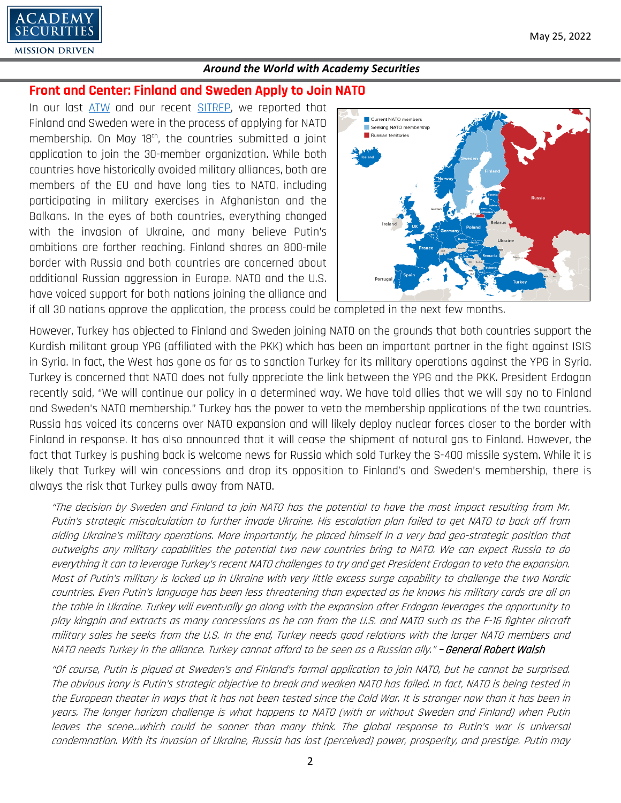

# **Front and Center: Finland and Sweden Apply to Join NATO**

In our last [ATW](https://www.academysecurities.com/wordpress/wp-content/uploads/2022/04/Around-the-World-with-Academy-Securities_4_28_22-1.pdf) and our recent [SITREP,](https://www.academysecurities.com/sitrep-will-finland-and-sweden-join-nato/) we reported that Finland and Sweden were in the process of applying for NATO membership. On May 18<sup>th</sup>, the countries submitted a joint application to join the 30-member organization. While both countries have historically avoided military alliances, both are members of the EU and have long ties to NATO, including participating in military exercises in Afghanistan and the Balkans. In the eyes of both countries, everything changed with the invasion of Ukraine, and many believe Putin's ambitions are farther reaching. Finland shares an 800-mile border with Russia and both countries are concerned about additional Russian aggression in Europe. NATO and the U.S. have voiced support for both nations joining the alliance and



if all 30 nations approve the application, the process could be completed in the next few months.

However, Turkey has objected to Finland and Sweden joining NATO on the grounds that both countries support the Kurdish militant group YPG (affiliated with the PKK) which has been an important partner in the fight against ISIS in Syria. In fact, the West has gone as far as to sanction Turkey for its military operations against the YPG in Syria. Turkey is concerned that NATO does not fully appreciate the link between the YPG and the PKK. President Erdogan recently said, "We will continue our policy in a determined way. We have told allies that we will say no to Finland and Sweden's NATO membership." Turkey has the power to veto the membership applications of the two countries. Russia has voiced its concerns over NATO expansion and will likely deploy nuclear forces closer to the border with Finland in response. It has also announced that it will cease the shipment of natural gas to Finland. However, the fact that Turkey is pushing back is welcome news for Russia which sold Turkey the S-400 missile system. While it is likely that Turkey will win concessions and drop its opposition to Finland's and Sweden's membership, there is always the risk that Turkey pulls away from NATO.

"The decision by Sweden and Finland to join NATO has the potential to have the most impact resulting from Mr. Putin's strategic miscalculation to further invade Ukraine. His escalation plan failed to get NATO to back off from aiding Ukraine's military operations. More importantly, he placed himself in a very bad geo-strategic position that outweighs any military capabilities the potential two new countries bring to NATO. We can expect Russia to do everything it can to leverage Turkey's recent NATO challenges to try and get President Erdogan to veto the expansion. Most of Putin's military is locked up in Ukraine with very little excess surge capability to challenge the two Nordic countries. Even Putin's language has been less threatening than expected as he knows his military cards are all on the table in Ukraine. Turkey will eventually go along with the expansion after Erdogan leverages the opportunity to play kingpin and extracts as many concessions as he can from the U.S. and NATO such as the F-16 fighter aircraft military sales he seeks from the U.S. In the end, Turkey needs good relations with the larger NATO members and NATO needs Turkey in the alliance. Turkey cannot afford to be seen as a Russian ally." – General Robert Walsh

"Of course, Putin is piqued at Sweden's and Finland's formal application to join NATO, but he cannot be surprised. The obvious irony is Putin's strategic objective to break and weaken NATO has failed. In fact, NATO is being tested in the European theater in ways that it has not been tested since the Cold War. It is stronger now than it has been in years. The longer horizon challenge is what happens to NATO (with or without Sweden and Finland) when Putin leaves the scene…which could be sooner than many think. The global response to Putin's war is universal condemnation. With its invasion of Ukraine, Russia has lost (perceived) power, prosperity, and prestige. Putin may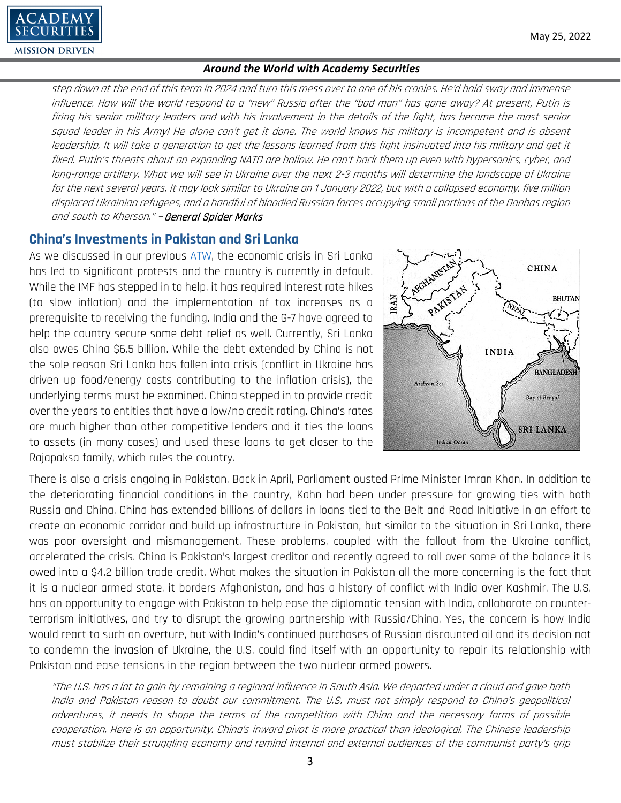step down at the end of this term in 2024 and turn this mess over to one of his cronies. He'd hold sway and immense influence. How will the world respond to a "new" Russia after the "bad man" has gone away? At present, Putin is firing his senior military leaders and with his involvement in the details of the fight, has become the most senior squad leader in his Army! He alone can't get it done. The world knows his military is incompetent and is absent leadership. It will take a generation to get the lessons learned from this fight insinuated into his military and get it fixed. Putin's threats about an expanding NATO are hollow. He can't back them up even with hypersonics, cyber, and long-range artillery. What we will see in Ukraine over the next 2-3 months will determine the landscape of Ukraine for the next several years. It may look similar to Ukraine on 1 January 2022, but with a collapsed economy, five million displaced Ukrainian refugees, and a handful of bloodied Russian forces occupying small portions of the Donbas region and south to Kherson." - General Spider Marks

# **China's Investments in Pakistan and Sri Lanka**

 $ADEM$ 

**MISSION DRIVEN** 

As we discussed in our previous [ATW,](https://www.academysecurities.com/wordpress/wp-content/uploads/2022/04/Around-the-World-with-Academy-Securities_4_28_22-1.pdf) the economic crisis in Sri Lanka has led to significant protests and the country is currently in default. While the IMF has stepped in to help, it has required interest rate hikes (to slow inflation) and the implementation of tax increases as a prerequisite to receiving the funding. India and the G-7 have agreed to help the country secure some debt relief as well. Currently, Sri Lanka also owes China \$6.5 billion. While the debt extended by China is not the sole reason Sri Lanka has fallen into crisis (conflict in Ukraine has driven up food/energy costs contributing to the inflation crisis), the underlying terms must be examined. China stepped in to provide credit over the years to entities that have a low/no credit rating. China's rates are much higher than other competitive lenders and it ties the loans to assets (in many cases) and used these loans to get closer to the Rajapaksa family, which rules the country.



There is also a crisis ongoing in Pakistan. Back in April, Parliament ousted Prime Minister Imran Khan. In addition to the deteriorating financial conditions in the country, Kahn had been under pressure for growing ties with both Russia and China. China has extended billions of dollars in loans tied to the Belt and Road Initiative in an effort to create an economic corridor and build up infrastructure in Pakistan, but similar to the situation in Sri Lanka, there was poor oversight and mismanagement. These problems, coupled with the fallout from the Ukraine conflict, accelerated the crisis. China is Pakistan's largest creditor and recently agreed to roll over some of the balance it is owed into a \$4.2 billion trade credit. What makes the situation in Pakistan all the more concerning is the fact that it is a nuclear armed state, it borders Afghanistan, and has a history of conflict with India over Kashmir. The U.S. has an opportunity to engage with Pakistan to help ease the diplomatic tension with India, collaborate on counterterrorism initiatives, and try to disrupt the growing partnership with Russia/China. Yes, the concern is how India would react to such an overture, but with India's continued purchases of Russian discounted oil and its decision not to condemn the invasion of Ukraine, the U.S. could find itself with an opportunity to repair its relationship with Pakistan and ease tensions in the region between the two nuclear armed powers.

"The U.S. has a lot to gain by remaining a regional influence in South Asia. We departed under a cloud and gave both India and Pakistan reason to doubt our commitment. The U.S. must not simply respond to China's geopolitical adventures, it needs to shape the terms of the competition with China and the necessary forms of possible cooperation. Here is an opportunity. China's inward pivot is more practical than ideological. The Chinese leadership must stabilize their struggling economy and remind internal and external audiences of the communist party's grip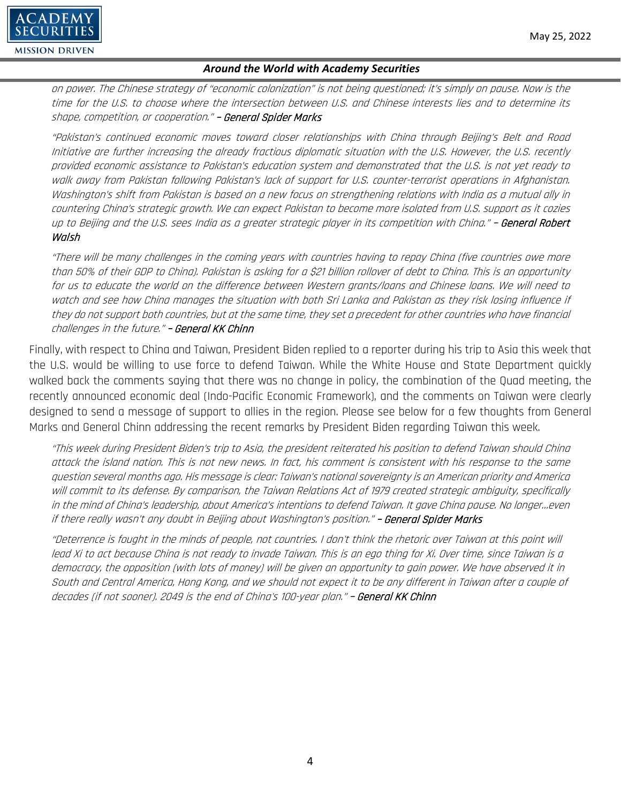

on power. The Chinese strategy of "economic colonization" is not being questioned; it's simply on pause. Now is the time for the U.S. to choose where the intersection between U.S. and Chinese interests lies and to determine its shape, competition, or cooperation." **– General Spider Marks** 

"Pakistan's continued economic moves toward closer relationships with China through Beijing's Belt and Road Initiative are further increasing the already fractious diplomatic situation with the U.S. However, the U.S. recently provided economic assistance to Pakistan's education system and demonstrated that the U.S. is not yet ready to walk away from Pakistan following Pakistan's lack of support for U.S. counter-terrorist operations in Afghanistan. Washington's shift from Pakistan is based on a new focus on strengthening relations with India as a mutual ally in countering China's strategic growth. We can expect Pakistan to become more isolated from U.S. support as it cozies up to Beijing and the U.S. sees India as a greater strategic player in its competition with China." **– General Robert** Walsh

"There will be many challenges in the coming years with countries having to repay China (five countries owe more than 50% of their GDP to China). Pakistan is asking for a \$21 billion rollover of debt to China. This is an opportunity for us to educate the world on the difference between Western grants/loans and Chinese loans. We will need to watch and see how China manages the situation with both Sri Lanka and Pakistan as they risk losing influence if they do not support both countries, but at the same time, they set a precedent for other countries who have financial challenges in the future." – General KK Chinn

Finally, with respect to China and Taiwan, President Biden replied to a reporter during his trip to Asia this week that the U.S. would be willing to use force to defend Taiwan. While the White House and State Department quickly walked back the comments saying that there was no change in policy, the combination of the Quad meeting, the recently announced economic deal (Indo-Pacific Economic Framework), and the comments on Taiwan were clearly designed to send a message of support to allies in the region. Please see below for a few thoughts from General Marks and General Chinn addressing the recent remarks by President Biden regarding Taiwan this week.

"This week during President Biden's trip to Asia, the president reiterated his position to defend Taiwan should China attack the island nation. This is not new news. In fact, his comment is consistent with his response to the same question several months ago. His message is clear: Taiwan's national sovereignty is an American priority and America will commit to its defense. By comparison, the Taiwan Relations Act of 1979 created strategic ambiguity, specifically in the mind of China's leadership, about America's intentions to defend Taiwan. It gave China pause. No longer…even if there really wasn't any doubt in Beijing about Washington's position." – General Spider Marks

"Deterrence is fought in the minds of people, not countries. I don't think the rhetoric over Taiwan at this point will lead Xi to act because China is not ready to invade Taiwan. This is an ego thing for Xi. Over time, since Taiwan is a democracy, the opposition (with lots of money) will be given an opportunity to gain power. We have observed it in South and Central America, Hong Kong, and we should not expect it to be any different in Taiwan after a couple of decades (if not sooner). 2049 is the end of China's 100-year plan." – General KK Chinn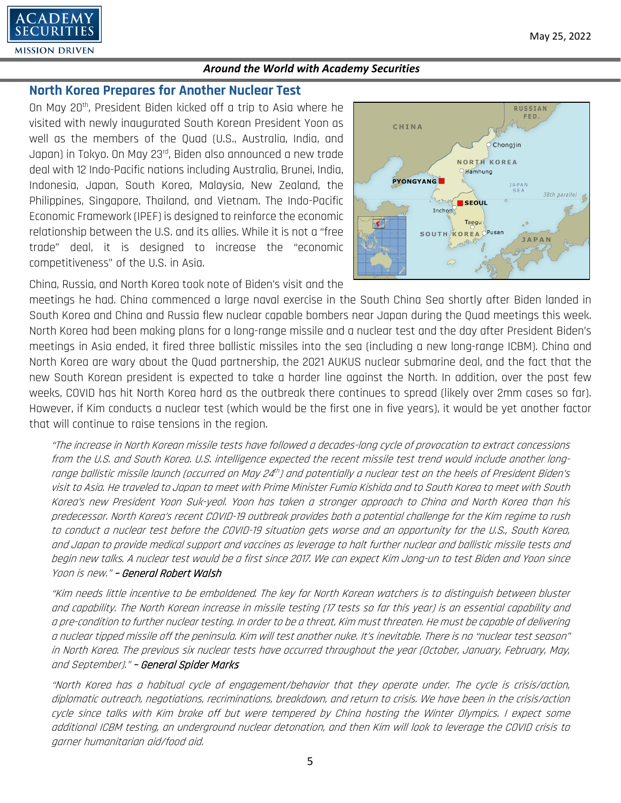

## **North Korea Prepares for Another Nuclear Test**

On May 20th, President Biden kicked off a trip to Asia where he visited with newly inaugurated South Korean President Yoon as well as the members of the Quad (U.S., Australia, India, and Japan) in Tokyo. On May 23rd, Biden also announced a new trade deal with 12 Indo-Pacific nations including Australia, Brunei, India, Indonesia, Japan, South Korea, Malaysia, New Zealand, the Philippines, Singapore, Thailand, and Vietnam. The Indo-Pacific Economic Framework (IPEF) is designed to reinforce the economic relationship between the U.S. and its allies. While it is not a "free trade" deal, it is designed to increase the "economic competitiveness" of the U.S. in Asia.



China, Russia, and North Korea took note of Biden's visit and the

meetings he had. China commenced a large naval exercise in the South China Sea shortly after Biden landed in South Korea and China and Russia flew nuclear capable bombers near Japan during the Quad meetings this week. North Korea had been making plans for a long-range missile and a nuclear test and the day after President Biden's meetings in Asia ended, it fired three ballistic missiles into the sea (including a new long-range ICBM). China and North Korea are wary about the Quad partnership, the 2021 AUKUS nuclear submarine deal, and the fact that the new South Korean president is expected to take a harder line against the North. In addition, over the past few weeks, COVID has hit North Korea hard as the outbreak there continues to spread (likely over 2mm cases so far). However, if Kim conducts a nuclear test (which would be the first one in five years), it would be yet another factor that will continue to raise tensions in the region.

"The increase in North Korean missile tests have followed a decades-long cycle of provocation to extract concessions from the U.S. and South Korea. U.S. intelligence expected the recent missile test trend would include another longrange ballistic missile launch (occurred on May 24th) and potentially a nuclear test on the heels of President Biden's visit to Asia. He traveled to Japan to meet with Prime Minister Fumio Kishida and to South Korea to meet with South Korea's new President Yoon Suk-yeol. Yoon has taken a stronger approach to China and North Korea than his predecessor. North Korea's recent COVID-19 outbreak provides both a potential challenge for the Kim regime to rush to conduct a nuclear test before the COVID-19 situation gets worse and an opportunity for the U.S., South Korea, and Japan to provide medical support and vaccines as leverage to halt further nuclear and ballistic missile tests and begin new talks. A nuclear test would be a first since 2017. We can expect Kim Jong-un to test Biden and Yoon since Yoon is new." – General Robert Walsh

"Kim needs little incentive to be emboldened. The key for North Korean watchers is to distinguish between bluster and capability. The North Korean increase in missile testing (17 tests so far this year) is an essential capability and a pre-condition to further nuclear testing. In order to be a threat, Kim must threaten. He must be capable of delivering a nuclear tipped missile off the peninsula. Kim will test another nuke. It's inevitable. There is no "nuclear test season" in North Korea. The previous six nuclear tests have occurred throughout the year (October, January, February, May, and September)." - General Spider Marks

"North Korea has a habitual cycle of engagement/behavior that they operate under. The cycle is crisis/action, diplomatic outreach, negotiations, recriminations, breakdown, and return to crisis. We have been in the crisis/action cycle since talks with Kim broke off but were tempered by China hosting the Winter Olympics. I expect some additional ICBM testing, an underground nuclear detonation, and then Kim will look to leverage the COVID crisis to garner humanitarian aid/food aid.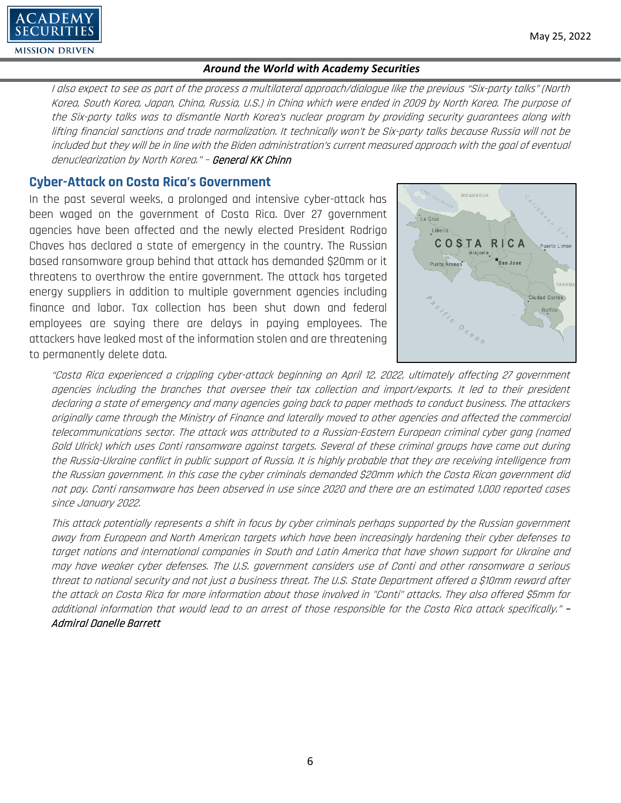

#### May 25, 2022

#### *Around the World with Academy Securities*

I also expect to see as part of the process a multilateral approach/dialogue like the previous "Six-party talks" (North Korea, South Korea, Japan, China, Russia, U.S.) in China which were ended in 2009 by North Korea. The purpose of the Six-party talks was to dismantle North Korea's nuclear program by providing security guarantees along with lifting financial sanctions and trade normalization. It technically won't be Six-party talks because Russia will not be included but they will be in line with the Biden administration's current measured approach with the goal of eventual denuclearization by North Korea." – General KK Chinn

# **Cyber-Attack on Costa Rica's Government**

In the past several weeks, a prolonged and intensive cyber-attack has been waged on the government of Costa Rica. Over 27 government agencies have been affected and the newly elected President Rodrigo Chaves has declared a state of emergency in the country. The Russian based ransomware group behind that attack has demanded \$20mm or it threatens to overthrow the entire government. The attack has targeted energy suppliers in addition to multiple government agencies including finance and labor. Tax collection has been shut down and federal employees are saying there are delays in paying employees. The attackers have leaked most of the information stolen and are threatening to permanently delete data.



"Costa Rica experienced a crippling cyber-attack beginning on April 12, 2022, ultimately affecting 27 government agencies including the branches that oversee their tax collection and import/exports. It led to their president declaring a state of emergency and many agencies going back to paper methods to conduct business. The attackers originally came through the Ministry of Finance and laterally moved to other agencies and affected the commercial telecommunications sector. The attack was attributed to a Russian-Eastern European criminal cyber gang (named Gold Ulrick) which uses Conti ransomware against targets. Several of these criminal groups have come out during the Russia-Ukraine conflict in public support of Russia. It is highly probable that they are receiving intelligence from the Russian government. In this case the cyber criminals demanded \$20mm which the Costa Rican government did not pay. Conti ransomware has been observed in use since 2020 and there are an estimated 1,000 reported cases since January 2022.

This attack potentially represents a shift in focus by cyber criminals perhaps supported by the Russian government away from European and North American targets which have been increasingly hardening their cyber defenses to target nations and international companies in South and Latin America that have shown support for Ukraine and may have weaker cyber defenses. The U.S. government considers use of Conti and other ransomware a serious threat to national security and not just a business threat. The U.S. State Department offered a \$10mm reward after the attack on Costa Rica for more information about those involved in "Conti" attacks. They also offered \$5mm for additional information that would lead to an arrest of those responsible for the Costa Rica attack specifically." – Admiral Danelle Barrett